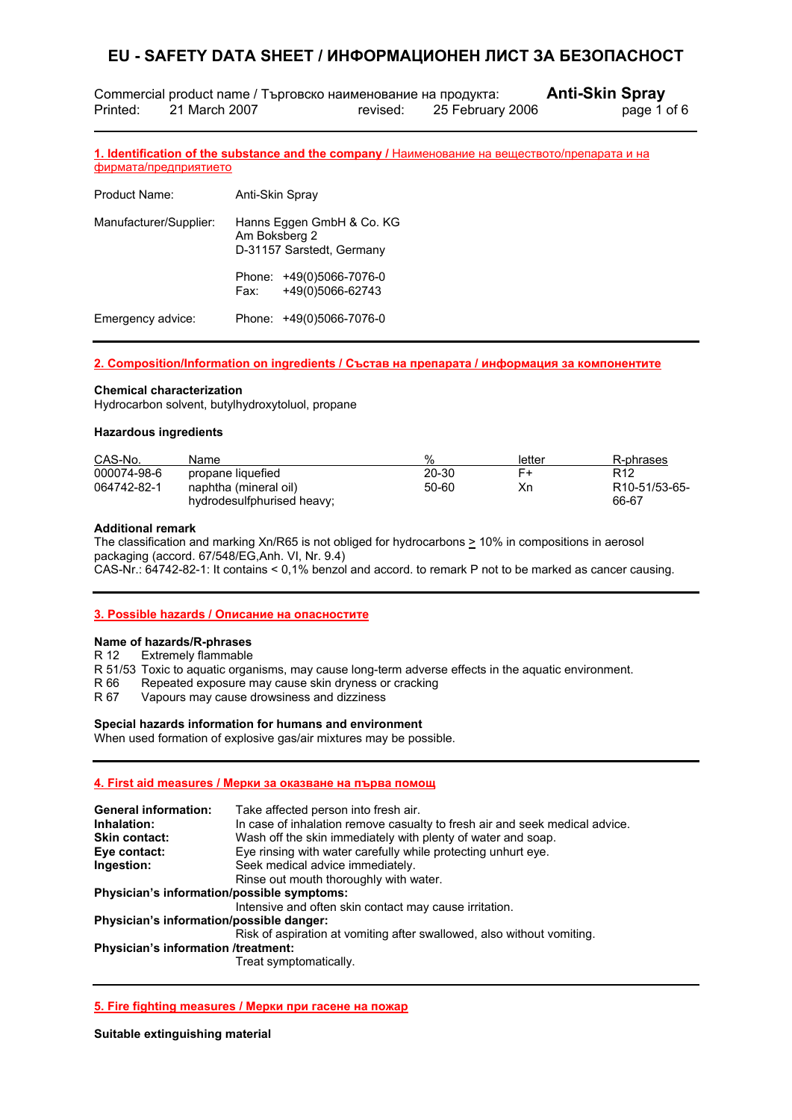Commercial product name / Търговско наименование на продукта: **Anti-Skin Spray** Printed: 21 March 2007 revised: 25 February 2006 page 1 of 6

**1. Identification of the substance and the company /** Наименование на веществото/препарата и на фирмата/предприятието

| Product Name:          | Anti-Skin Spray                                                         |                                              |
|------------------------|-------------------------------------------------------------------------|----------------------------------------------|
| Manufacturer/Supplier: | Hanns Eggen GmbH & Co. KG<br>Am Boksberg 2<br>D-31157 Sarstedt, Germany |                                              |
|                        | Fax:                                                                    | Phone: +49(0)5066-7076-0<br>+49(0)5066-62743 |
| Emergency advice:      |                                                                         | Phone: +49(0)5066-7076-0                     |

#### **2. Composition/Information on ingredients / Състав на препарата / информация за компонентите**

#### **Chemical characterization**

L

Hydrocarbon solvent, butylhydroxytoluol, propane

#### **Hazardous ingredients**

| CAS-No.     | Name                       | %     | letter | R-phrases                  |
|-------------|----------------------------|-------|--------|----------------------------|
| 000074-98-6 | propane liquefied          | 20-30 | F+     | R <sub>12</sub>            |
| 064742-82-1 | naphtha (mineral oil)      | 50-60 | Хn     | R <sub>10</sub> -51/53-65- |
|             | hydrodesulfphurised heavy; |       |        | 66-67                      |

#### **Additional remark**

The classification and marking Xn/R65 is not obliged for hydrocarbons  $\geq$  10% in compositions in aerosol packaging (accord. 67/548/EG,Anh. VI, Nr. 9.4) CAS-Nr.: 64742-82-1: It contains < 0,1% benzol and accord. to remark P not to be marked as cancer causing.

#### **3. Possible hazards / Описание на опасностите**

#### **Name of hazards/R-phrases**

R 12 Extremely flammable

R 51/53 Toxic to aquatic organisms, may cause long-term adverse effects in the aquatic environment.

R 66 Repeated exposure may cause skin dryness or cracking

R 67 Vapours may cause drowsiness and dizziness

#### **Special hazards information for humans and environment**

When used formation of explosive gas/air mixtures may be possible.

#### **4. First aid measures / Мерки за оказване на първа помощ**

| <b>General information:</b>                | Take affected person into fresh air.                                        |
|--------------------------------------------|-----------------------------------------------------------------------------|
| Inhalation:                                | In case of inhalation remove casualty to fresh air and seek medical advice. |
| <b>Skin contact:</b>                       | Wash off the skin immediately with plenty of water and soap.                |
| Eye contact:                               | Eye rinsing with water carefully while protecting unhurt eye.               |
| Ingestion:                                 | Seek medical advice immediately.                                            |
|                                            | Rinse out mouth thoroughly with water.                                      |
| Physician's information/possible symptoms: |                                                                             |
|                                            | Intensive and often skin contact may cause irritation.                      |
| Physician's information/possible danger:   |                                                                             |
|                                            | Risk of aspiration at vomiting after swallowed, also without vomiting.      |
| Physician's information /treatment:        |                                                                             |
|                                            | Treat symptomatically.                                                      |
|                                            |                                                                             |

#### **5. Fire fighting measures / Мерки при гасене на пожар**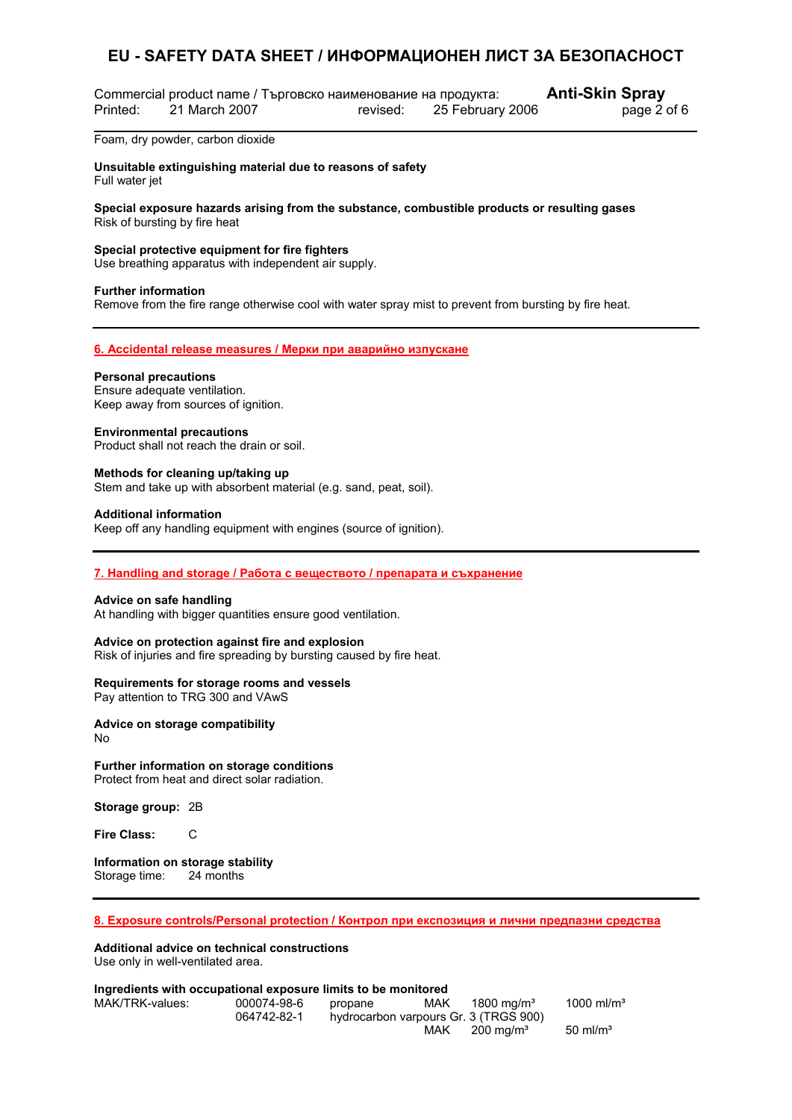Commercial product name / Търговско наименование на продукта: **Anti-Skin Spray** Printed: 21 March 2007 revised: 25 February 2006 page 2 of 6

Foam, dry powder, carbon dioxide

**Unsuitable extinguishing material due to reasons of safety**  Full water jet

**Special exposure hazards arising from the substance, combustible products or resulting gases** Risk of bursting by fire heat

**Special protective equipment for fire fighters**

Use breathing apparatus with independent air supply.

#### **Further information**

L

Remove from the fire range otherwise cool with water spray mist to prevent from bursting by fire heat.

#### **6. Accidental release measures / Мерки при аварийно изпускане**

#### **Personal precautions**

Ensure adequate ventilation. Keep away from sources of ignition.

#### **Environmental precautions**

Product shall not reach the drain or soil.

#### **Methods for cleaning up/taking up**

Stem and take up with absorbent material (e.g. sand, peat, soil).

#### **Additional information**

Keep off any handling equipment with engines (source of ignition).

#### **7. Handling and storage / Работа с веществото / препарата и съхранение**

#### **Advice on safe handling**

At handling with bigger quantities ensure good ventilation.

#### **Advice on protection against fire and explosion**

Risk of injuries and fire spreading by bursting caused by fire heat.

#### **Requirements for storage rooms and vessels**

Pay attention to TRG 300 and VAwS

**Advice on storage compatibility**  No

#### **Further information on storage conditions**

Protect from heat and direct solar radiation.

**Storage group:** 2B

**Fire Class:** C

**Information on storage stability**  Storage time: 24 months

**8. Exposure controls/Personal protection / Контрол при експозиция и лични предпазни средства**

#### **Additional advice on technical constructions**  Use only in well-ventilated area.

#### **Ingredients with occupational exposure limits to be monitored**

| MAK/TRK-values: | 000074-98-6 | propane | <b>MAK</b> | 1800 ma/m $^{\rm 3}$                  | 1000 ml/m <sup>3</sup> |
|-----------------|-------------|---------|------------|---------------------------------------|------------------------|
|                 | 064742-82-1 |         |            | hydrocarbon varpours Gr. 3 (TRGS 900) |                        |
|                 |             |         | MAK        | $200 \; \mathrm{mq/m^3}$              | $50 \text{ ml/m}^3$    |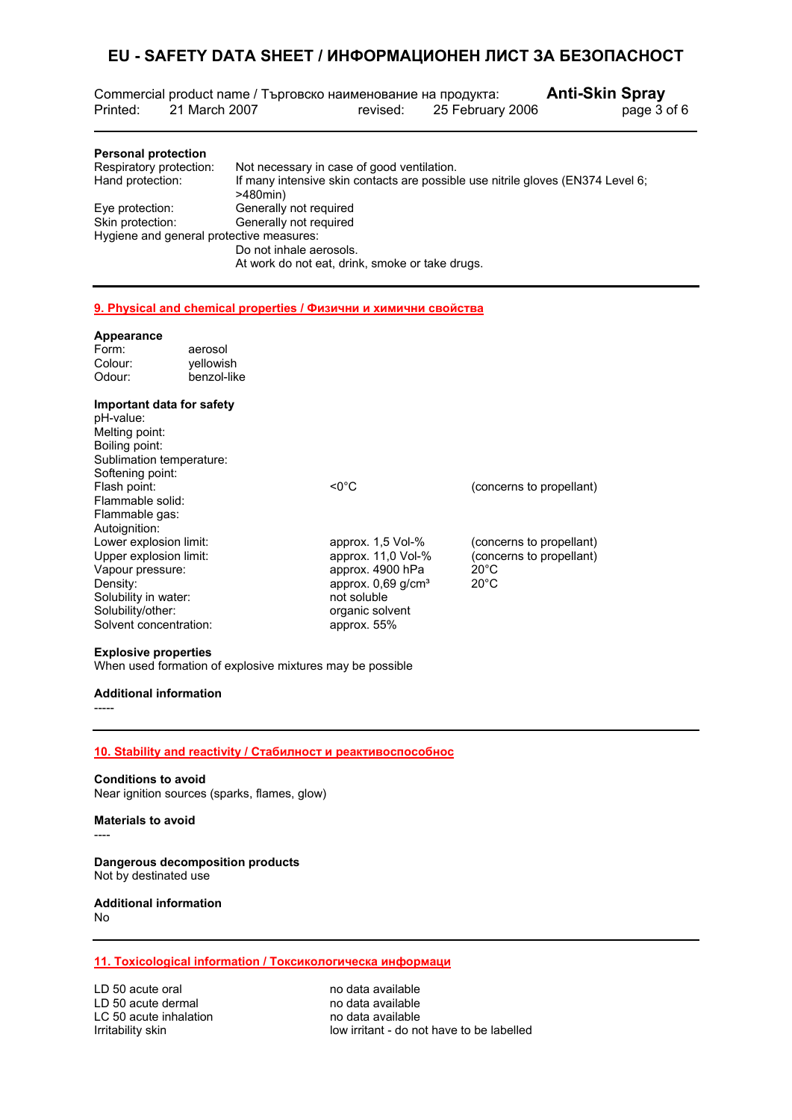Commercial product name / Търговско наименование на продукта: **Anti-Skin Spray** Printed: 21 March 2007 revised: 25 February 2006 page 3 of 6

| <b>Personal protection</b>               |                                                                                                   |
|------------------------------------------|---------------------------------------------------------------------------------------------------|
| Respiratory protection:                  | Not necessary in case of good ventilation.                                                        |
| Hand protection:                         | If many intensive skin contacts are possible use nitrile gloves (EN374 Level 6;<br>$>480$ min $)$ |
| Eye protection:                          | Generally not required                                                                            |
| Skin protection:                         | Generally not required                                                                            |
| Hygiene and general protective measures: |                                                                                                   |
|                                          | Do not inhale aerosols.                                                                           |
|                                          | At work do not eat, drink, smoke or take drugs.                                                   |

#### **9. Physical and chemical properties / Физични и химични свойства**

#### **Appearance**

L

| Form:                  | aerosol                   |                                  |                          |
|------------------------|---------------------------|----------------------------------|--------------------------|
| Colour:                | yellowish                 |                                  |                          |
| Odour:                 | benzol-like               |                                  |                          |
|                        | Important data for safety |                                  |                          |
| pH-value:              |                           |                                  |                          |
| Melting point:         |                           |                                  |                          |
| Boiling point:         |                           |                                  |                          |
|                        | Sublimation temperature:  |                                  |                          |
| Softening point:       |                           |                                  |                          |
| Flash point:           |                           | $< 0^{\circ}$ C                  | (concerns to propellant) |
| Flammable solid:       |                           |                                  |                          |
| Flammable gas:         |                           |                                  |                          |
| Autoignition:          |                           |                                  |                          |
| Lower explosion limit: |                           | approx. $1,5$ Vol- $%$           | (concerns to propellant) |
| Upper explosion limit: |                           | approx. $11,0$ Vol- $%$          | (concerns to propellant) |
| Vapour pressure:       |                           | approx. 4900 hPa                 | $20^{\circ}$ C           |
| Density:               |                           | approx. $0.69$ g/cm <sup>3</sup> | $20^{\circ}$ C           |
| Solubility in water:   |                           | not soluble                      |                          |
| Solubility/other:      |                           | organic solvent                  |                          |
| Solvent concentration: |                           | approx. 55%                      |                          |

#### **Explosive properties**

When used formation of explosive mixtures may be possible

#### **Additional information**

-----

#### **10. Stability and reactivity / Стабилност и реактивоспособнос**

**Conditions to avoid**  Near ignition sources (sparks, flames, glow)

#### **Materials to avoid**

----

**Dangerous decomposition products**  Not by destinated use

#### **Additional information**  No

#### **11. Toxicological information / Токсикологическа информаци**

LD 50 acute oral no data available<br>
LD 50 acute dermal no data available LD 50 acute dermal<br>
LC 50 acute inhalation<br>
LC 50 acute inhalation<br>
no data available LC 50 acute inhalation<br>Irritability skin

low irritant - do not have to be labelled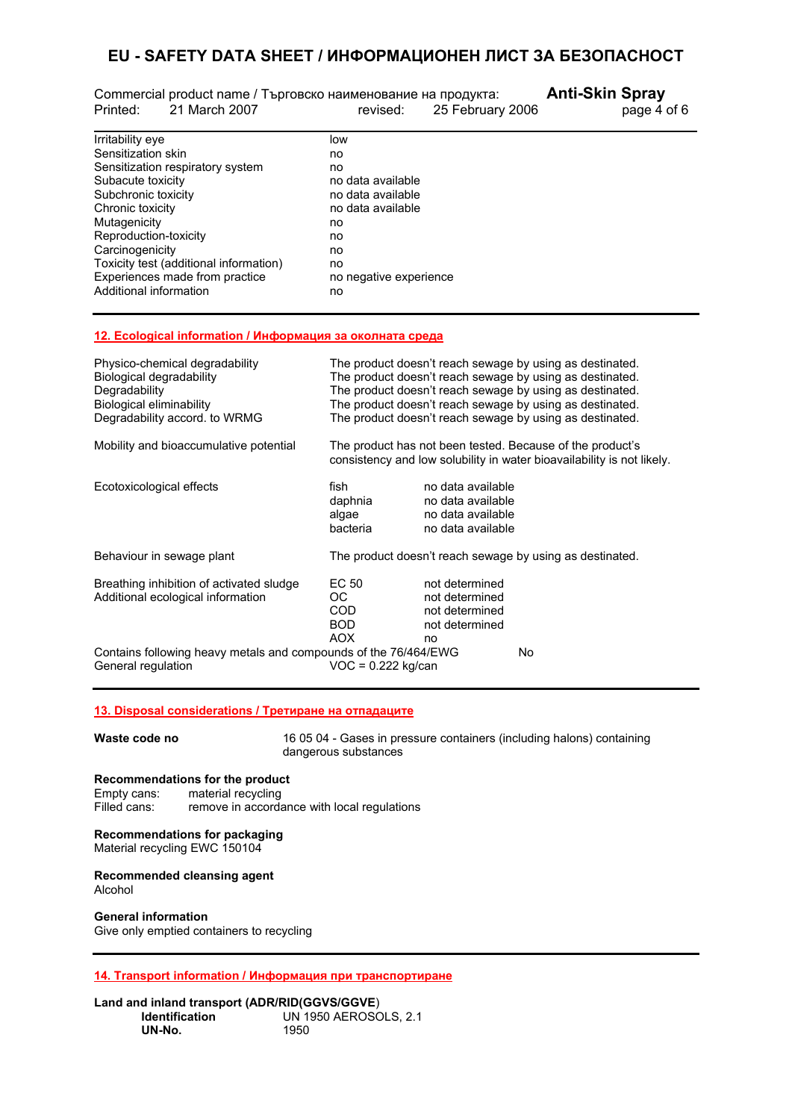|          |               | Commercial product name / Търговско наименование на продукта: | <b>Anti-Skin Spray</b> |
|----------|---------------|---------------------------------------------------------------|------------------------|
| Printed: | 21 March 2007 | 25 February 2006<br>revised:                                  | page 4 of 6            |
|          |               |                                                               |                        |

| low                    |
|------------------------|
| no                     |
| no                     |
| no data available      |
| no data available      |
| no data available      |
| no                     |
| no                     |
| no                     |
| no                     |
| no negative experience |
| no                     |
|                        |

#### **12. Ecological information / Информация за околната среда**

| Physico-chemical degradability<br>Biological degradability<br>Degradability<br>Biological eliminability<br>Degradability accord. to WRMG | The product doesn't reach sewage by using as destinated.<br>The product doesn't reach sewage by using as destinated.<br>The product doesn't reach sewage by using as destinated.<br>The product doesn't reach sewage by using as destinated.<br>The product doesn't reach sewage by using as destinated. |                                                                                  |    |
|------------------------------------------------------------------------------------------------------------------------------------------|----------------------------------------------------------------------------------------------------------------------------------------------------------------------------------------------------------------------------------------------------------------------------------------------------------|----------------------------------------------------------------------------------|----|
| Mobility and bioaccumulative potential                                                                                                   | The product has not been tested. Because of the product's<br>consistency and low solubility in water bioavailability is not likely.                                                                                                                                                                      |                                                                                  |    |
| Ecotoxicological effects                                                                                                                 | fish<br>daphnia<br>algae<br>bacteria                                                                                                                                                                                                                                                                     | no data available<br>no data available<br>no data available<br>no data available |    |
| Behaviour in sewage plant                                                                                                                | The product doesn't reach sewage by using as destinated.                                                                                                                                                                                                                                                 |                                                                                  |    |
| Breathing inhibition of activated sludge<br>Additional ecological information                                                            | EC 50<br>OC.<br>COD<br>BOD.<br>AOX                                                                                                                                                                                                                                                                       | not determined<br>not determined<br>not determined<br>not determined<br>no       |    |
| Contains following heavy metals and compounds of the 76/464/EWG<br>General regulation                                                    | $VOC = 0.222$ kg/can                                                                                                                                                                                                                                                                                     |                                                                                  | No |

## **13. Disposal considerations / Третиране на отпадаците**

**Waste code no** 16 05 04 - Gases in pressure containers (including halons) containing dangerous substances

#### **Recommendations for the product**

Empty cans: material recycling Filled cans: remove in accordance with local regulations

#### **Recommendations for packaging**

Material recycling EWC 150104

#### **Recommended cleansing agent**  Alcohol

**General information**  Give only emptied containers to recycling

**14. Transport information / Информация при транспортиране**

#### **Land and inland transport (ADR/RID(GGVS/GGVE**) **IDENTIFICATION** 1950<br>1950 UN-No.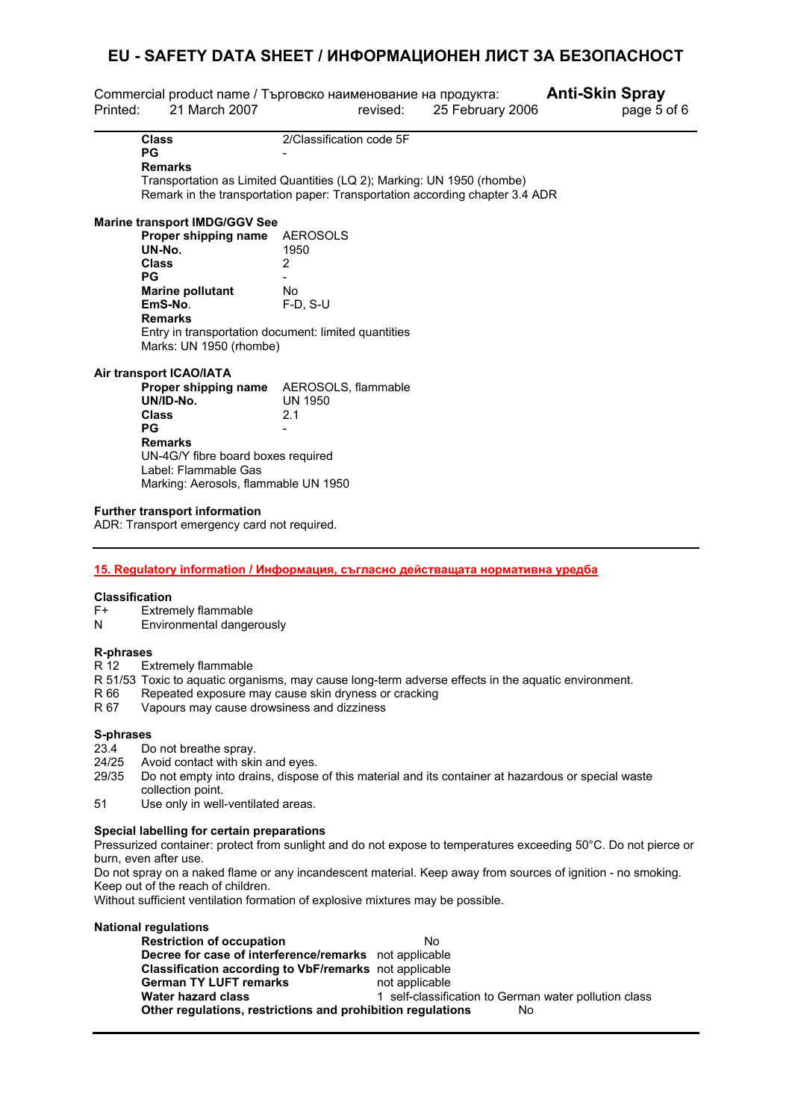| Printed: | Commercial product name / Търговско наименование на продукта:<br>21 March 2007                                                                                                                 | revised:                                          | 25 February 2006 | <b>Anti-Skin Spray</b><br>page 5 of 6 |
|----------|------------------------------------------------------------------------------------------------------------------------------------------------------------------------------------------------|---------------------------------------------------|------------------|---------------------------------------|
|          | <b>Class</b><br>PG<br><b>Remarks</b><br>Transportation as Limited Quantities (LQ 2); Marking: UN 1950 (rhombe)<br>Remark in the transportation paper: Transportation according chapter 3.4 ADR | 2/Classification code 5F                          |                  |                                       |
|          | <b>Marine transport IMDG/GGV See</b>                                                                                                                                                           |                                                   |                  |                                       |
|          | Proper shipping name<br>UN-No.<br>Class<br>PG<br><b>Marine pollutant</b><br>EmS-No.<br><b>Remarks</b><br>Entry in transportation document: limited quantities<br>Marks: UN 1950 (rhombe)       | <b>AEROSOLS</b><br>1950<br>2<br>No.<br>$F-D, S-U$ |                  |                                       |
|          | Air transport ICAO/IATA                                                                                                                                                                        |                                                   |                  |                                       |
|          | Proper shipping name<br>UN/ID-No.<br><b>Class</b><br><b>PG</b><br><b>Remarks</b><br>UN-4G/Y fibre board boxes required<br>Label: Flammable Gas<br>Marking: Aerosols, flammable UN 1950         | AEROSOLS, flammable<br><b>UN 1950</b><br>2.1      |                  |                                       |

#### **Further transport information**

ADR: Transport emergency card not required.

#### **15. Regulatory information / Информация, съгласно действащата нормативна уредба**

#### **Classification**

- F+ Extremely flammable
- N Environmental dangerously

# **R-phrases**

- Extremely flammable
- R 51/53 Toxic to aquatic organisms, may cause long-term adverse effects in the aquatic environment.
- R 66 Repeated exposure may cause skin dryness or cracking<br>R 67 Vapours may cause drowsiness and dizziness
- Vapours may cause drowsiness and dizziness

#### **S-phrases**

- 23.4 Do not breathe spray.<br>24/25 Avoid contact with ski
- Avoid contact with skin and eyes.
- 29/35 Do not empty into drains, dispose of this material and its container at hazardous or special waste collection point.
- 51 Use only in well-ventilated areas.

#### **Special labelling for certain preparations**

Pressurized container: protect from sunlight and do not expose to temperatures exceeding 50°C. Do not pierce or burn, even after use.

Do not spray on a naked flame or any incandescent material. Keep away from sources of ignition - no smoking. Keep out of the reach of children.

Without sufficient ventilation formation of explosive mixtures may be possible.

#### **National regulations Restriction of occupation** No **Decree for case of interference/remarks** not applicable **Classification according to VbF/remarks** not applicable **German TY LUFT remarks** not applicable **Water hazard class** 1 self-classification to German water pollution class **Other regulations, restrictions and prohibition regulations** No